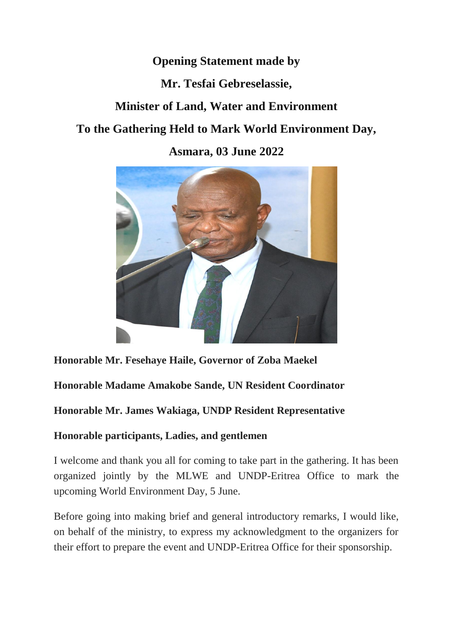## **Opening Statement made by**

## **Mr. Tesfai Gebreselassie,**

# **Minister of Land, Water and Environment**

# **To the Gathering Held to Mark World Environment Day,**

**Asmara, 03 June 2022**



## **Honorable Mr. Fesehaye Haile, Governor of Zoba Maekel**

## **Honorable Madame Amakobe Sande, UN Resident Coordinator**

## **Honorable Mr. James Wakiaga, UNDP Resident Representative**

### **Honorable participants, Ladies, and gentlemen**

I welcome and thank you all for coming to take part in the gathering. It has been organized jointly by the MLWE and UNDP-Eritrea Office to mark the upcoming World Environment Day, 5 June.

Before going into making brief and general introductory remarks, I would like, on behalf of the ministry, to express my acknowledgment to the organizers for their effort to prepare the event and UNDP-Eritrea Office for their sponsorship.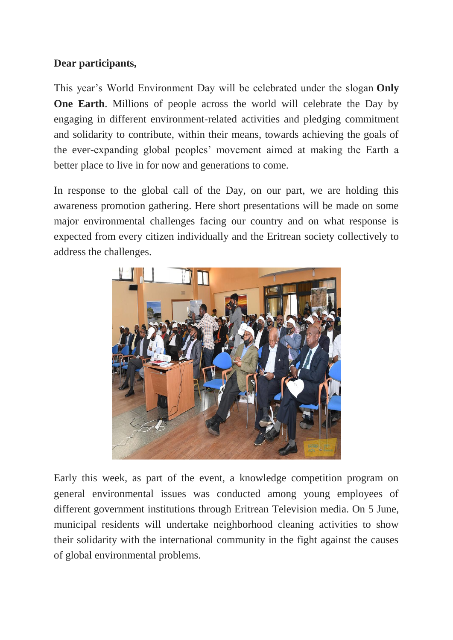### **Dear participants,**

This year's World Environment Day will be celebrated under the slogan **Only One Earth**. Millions of people across the world will celebrate the Day by engaging in different environment-related activities and pledging commitment and solidarity to contribute, within their means, towards achieving the goals of the ever-expanding global peoples' movement aimed at making the Earth a better place to live in for now and generations to come.

In response to the global call of the Day, on our part, we are holding this awareness promotion gathering. Here short presentations will be made on some major environmental challenges facing our country and on what response is expected from every citizen individually and the Eritrean society collectively to address the challenges.



Early this week, as part of the event, a knowledge competition program on general environmental issues was conducted among young employees of different government institutions through Eritrean Television media. On 5 June, municipal residents will undertake neighborhood cleaning activities to show their solidarity with the international community in the fight against the causes of global environmental problems.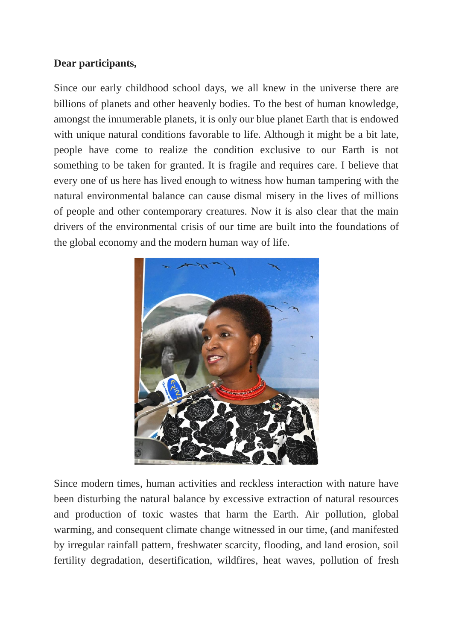#### **Dear participants,**

Since our early childhood school days, we all knew in the universe there are billions of planets and other heavenly bodies. To the best of human knowledge, amongst the innumerable planets, it is only our blue planet Earth that is endowed with unique natural conditions favorable to life. Although it might be a bit late, people have come to realize the condition exclusive to our Earth is not something to be taken for granted. It is fragile and requires care. I believe that every one of us here has lived enough to witness how human tampering with the natural environmental balance can cause dismal misery in the lives of millions of people and other contemporary creatures. Now it is also clear that the main drivers of the environmental crisis of our time are built into the foundations of the global economy and the modern human way of life.



Since modern times, human activities and reckless interaction with nature have been disturbing the natural balance by excessive extraction of natural resources and production of toxic wastes that harm the Earth. Air pollution, global warming, and consequent climate change witnessed in our time, (and manifested by irregular rainfall pattern, freshwater scarcity, flooding, and land erosion, soil fertility degradation, desertification, wildfires, heat waves, pollution of fresh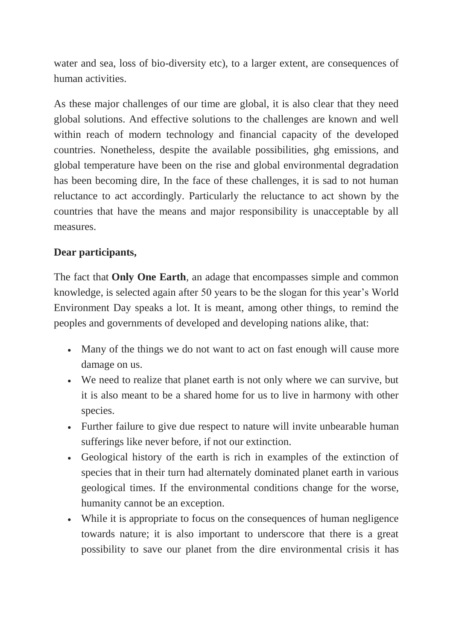water and sea, loss of bio-diversity etc), to a larger extent, are consequences of human activities.

As these major challenges of our time are global, it is also clear that they need global solutions. And effective solutions to the challenges are known and well within reach of modern technology and financial capacity of the developed countries. Nonetheless, despite the available possibilities, ghg emissions, and global temperature have been on the rise and global environmental degradation has been becoming dire, In the face of these challenges, it is sad to not human reluctance to act accordingly. Particularly the reluctance to act shown by the countries that have the means and major responsibility is unacceptable by all measures.

### **Dear participants,**

The fact that **Only One Earth**, an adage that encompasses simple and common knowledge, is selected again after 50 years to be the slogan for this year's World Environment Day speaks a lot. It is meant, among other things, to remind the peoples and governments of developed and developing nations alike, that:

- Many of the things we do not want to act on fast enough will cause more damage on us.
- We need to realize that planet earth is not only where we can survive, but it is also meant to be a shared home for us to live in harmony with other species.
- Further failure to give due respect to nature will invite unbearable human sufferings like never before, if not our extinction.
- Geological history of the earth is rich in examples of the extinction of species that in their turn had alternately dominated planet earth in various geological times. If the environmental conditions change for the worse, humanity cannot be an exception.
- While it is appropriate to focus on the consequences of human negligence towards nature; it is also important to underscore that there is a great possibility to save our planet from the dire environmental crisis it has